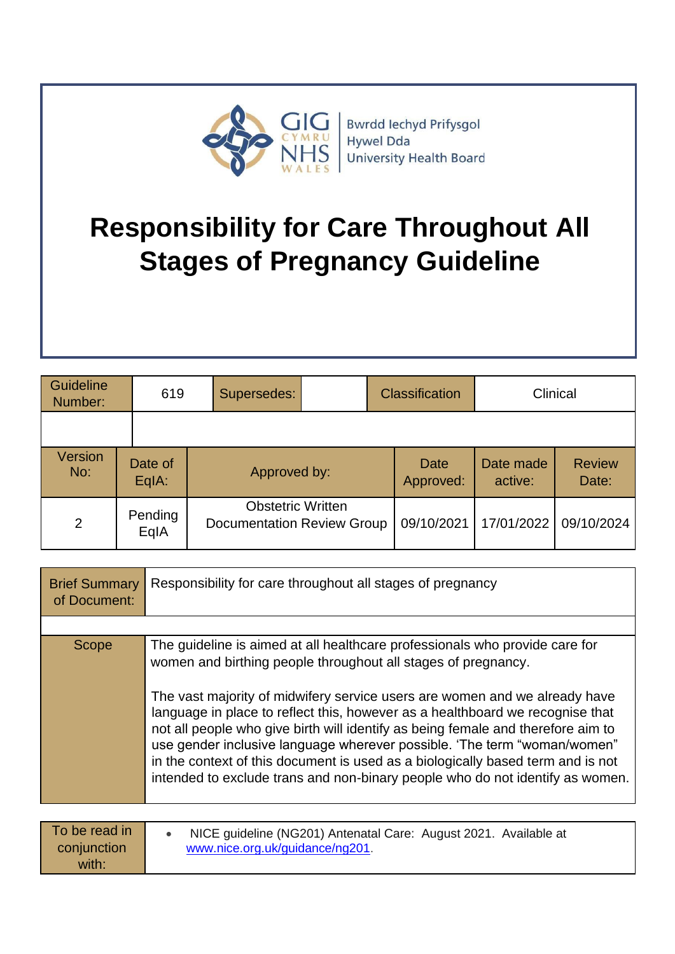

# **Responsibility for Care Throughout All Stages of Pregnancy Guideline**

| Guideline<br>Number: | 619                | Supersedes:                                                   | <b>Classification</b>    |                      | Clinical               |
|----------------------|--------------------|---------------------------------------------------------------|--------------------------|----------------------|------------------------|
|                      |                    |                                                               |                          |                      |                        |
| Version<br>No:       | Date of<br>$EqA$ : | Approved by:                                                  | <b>Date</b><br>Approved: | Date made<br>active: | <b>Review</b><br>Date: |
| 2                    | Pending<br>EqIA    | <b>Obstetric Written</b><br><b>Documentation Review Group</b> | 09/10/2021               | 17/01/2022           | 09/10/2024             |

| <b>Brief Summary</b><br>of Document:  | Responsibility for care throughout all stages of pregnancy                                                                                                                                                                                                                                                                                                                                                                                                                                                                                                                                                                                      |
|---------------------------------------|-------------------------------------------------------------------------------------------------------------------------------------------------------------------------------------------------------------------------------------------------------------------------------------------------------------------------------------------------------------------------------------------------------------------------------------------------------------------------------------------------------------------------------------------------------------------------------------------------------------------------------------------------|
|                                       |                                                                                                                                                                                                                                                                                                                                                                                                                                                                                                                                                                                                                                                 |
| <b>Scope</b>                          | The guideline is aimed at all healthcare professionals who provide care for<br>women and birthing people throughout all stages of pregnancy.<br>The vast majority of midwifery service users are women and we already have<br>language in place to reflect this, however as a healthboard we recognise that<br>not all people who give birth will identify as being female and therefore aim to<br>use gender inclusive language wherever possible. 'The term "woman/women"<br>in the context of this document is used as a biologically based term and is not<br>intended to exclude trans and non-binary people who do not identify as women. |
|                                       |                                                                                                                                                                                                                                                                                                                                                                                                                                                                                                                                                                                                                                                 |
| To be read in<br>conjunction<br>with: | NICE guideline (NG201) Antenatal Care: August 2021. Available at<br>www.nice.org.uk/guidance/ng201.                                                                                                                                                                                                                                                                                                                                                                                                                                                                                                                                             |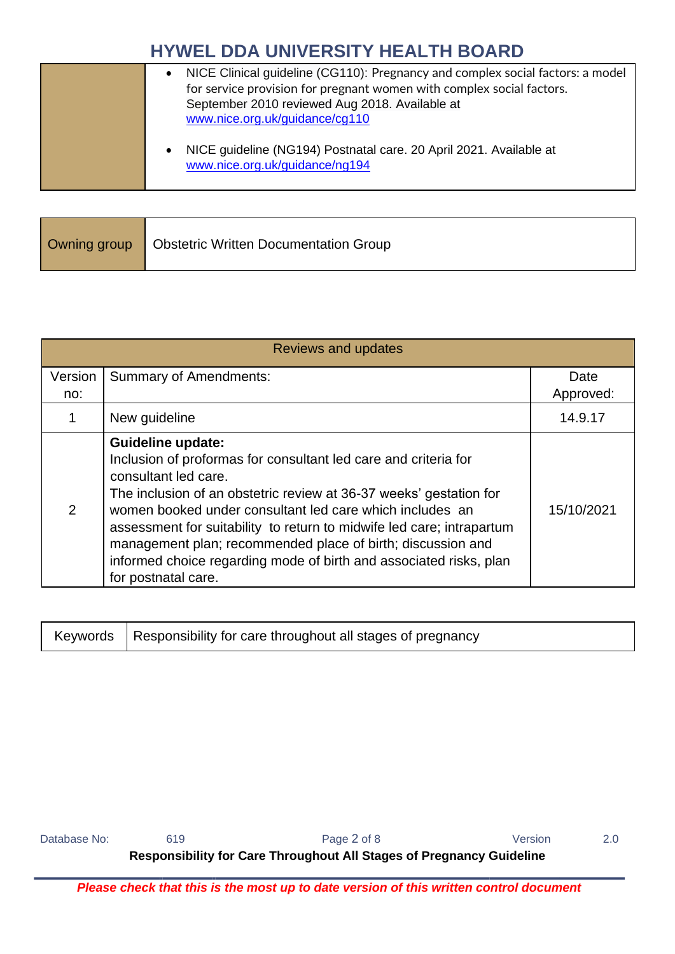| NICE Clinical guideline (CG110): Pregnancy and complex social factors: a model |
|--------------------------------------------------------------------------------|
| for service provision for pregnant women with complex social factors.          |
| September 2010 reviewed Aug 2018. Available at                                 |
| www.nice.org.uk/guidance/cg110                                                 |
|                                                                                |
| NICE guideline (NG194) Postnatal care. 20 April 2021. Available at             |
| www.nice.org.uk/guidance/ng194                                                 |
|                                                                                |

| Owning group   Obstetric Written Documentation Group |
|------------------------------------------------------|
|                                                      |

|         | Reviews and updates                                                                                                                                                                                                                                                                                                                                                                                                                                                                        |                   |
|---------|--------------------------------------------------------------------------------------------------------------------------------------------------------------------------------------------------------------------------------------------------------------------------------------------------------------------------------------------------------------------------------------------------------------------------------------------------------------------------------------------|-------------------|
| Version | <b>Summary of Amendments:</b>                                                                                                                                                                                                                                                                                                                                                                                                                                                              | Date<br>Approved: |
| no:     |                                                                                                                                                                                                                                                                                                                                                                                                                                                                                            |                   |
|         | New guideline                                                                                                                                                                                                                                                                                                                                                                                                                                                                              | 14.9.17           |
| 2       | <b>Guideline update:</b><br>Inclusion of proformas for consultant led care and criteria for<br>consultant led care.<br>The inclusion of an obstetric review at 36-37 weeks' gestation for<br>women booked under consultant led care which includes an<br>assessment for suitability to return to midwife led care; intrapartum<br>management plan; recommended place of birth; discussion and<br>informed choice regarding mode of birth and associated risks, plan<br>for postnatal care. | 15/10/2021        |

|  | , Keywords   Responsibility for care throughout all stages of pregnancy |
|--|-------------------------------------------------------------------------|
|--|-------------------------------------------------------------------------|

| Database No: | 619 | Page 2 of 8                                                                 | Version | 2.0 |
|--------------|-----|-----------------------------------------------------------------------------|---------|-----|
|              |     | <b>Responsibility for Care Throughout All Stages of Pregnancy Guideline</b> |         |     |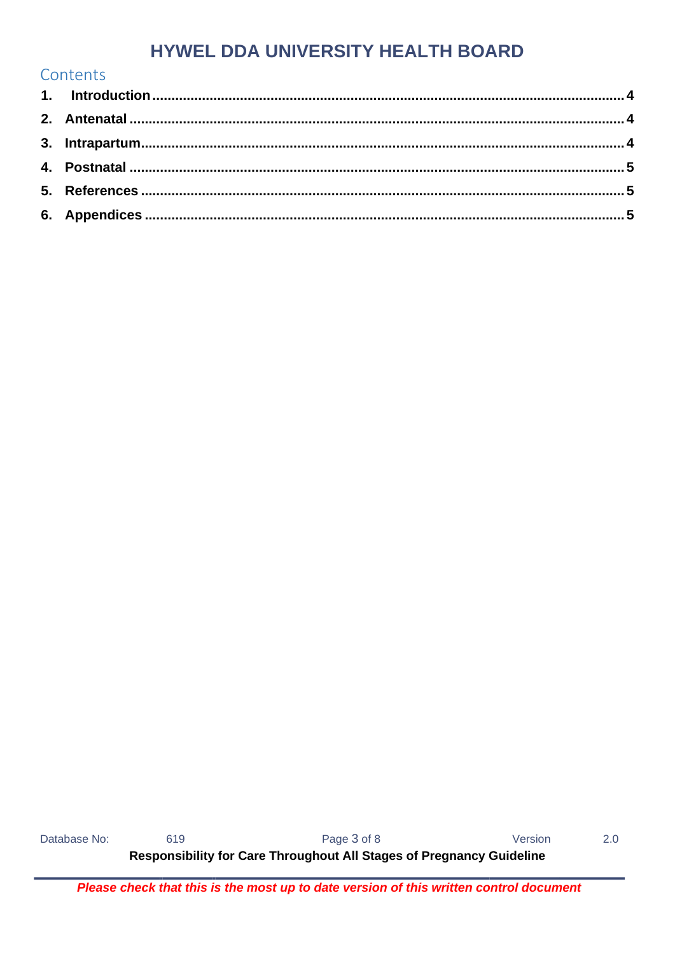| Contents |  |
|----------|--|
|          |  |
|          |  |
|          |  |
|          |  |
|          |  |
|          |  |

619 Page 3 of 8 Version Database No: Responsibility for Care Throughout All Stages of Pregnancy Guideline

 $2.0$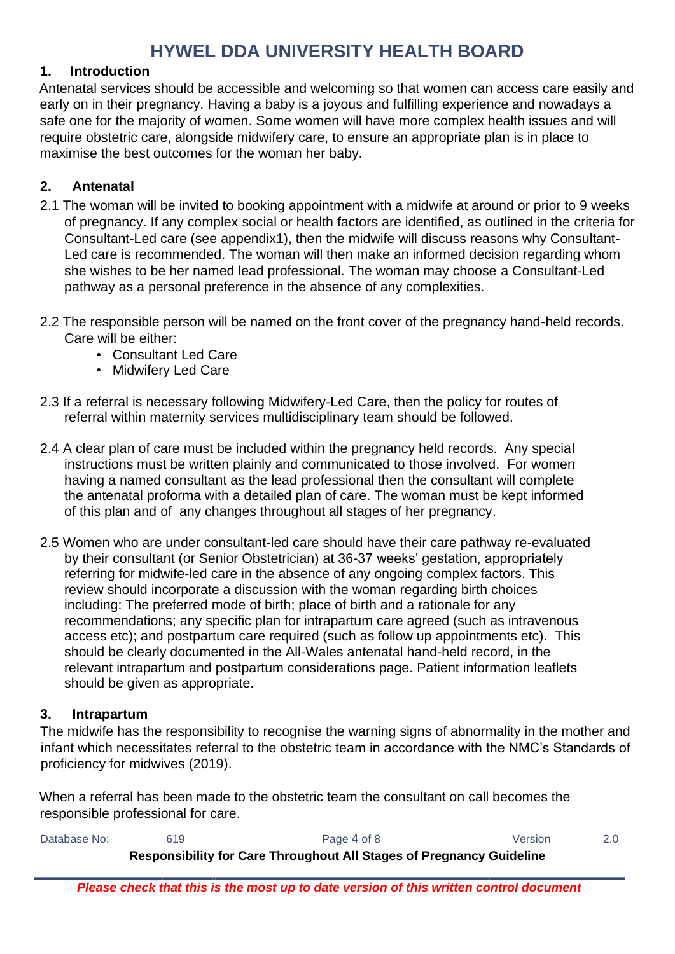#### <span id="page-3-0"></span>**1. Introduction**

Antenatal services should be accessible and welcoming so that women can access care easily and early on in their pregnancy. Having a baby is a joyous and fulfilling experience and nowadays a safe one for the majority of women. Some women will have more complex health issues and will require obstetric care, alongside midwifery care, to ensure an appropriate plan is in place to maximise the best outcomes for the woman her baby.

#### <span id="page-3-1"></span>**2. Antenatal**

- 2.1 The woman will be invited to booking appointment with a midwife at around or prior to 9 weeks of pregnancy. If any complex social or health factors are identified, as outlined in the criteria for Consultant-Led care (see appendix1), then the midwife will discuss reasons why Consultant-Led care is recommended. The woman will then make an informed decision regarding whom she wishes to be her named lead professional. The woman may choose a Consultant-Led pathway as a personal preference in the absence of any complexities.
- 2.2 The responsible person will be named on the front cover of the pregnancy hand-held records. Care will be either:
	- Consultant Led Care
	- Midwifery Led Care
- 2.3 If a referral is necessary following Midwifery-Led Care, then the policy for routes of referral within maternity services multidisciplinary team should be followed.
- 2.4 A clear plan of care must be included within the pregnancy held records. Any special instructions must be written plainly and communicated to those involved. For women having a named consultant as the lead professional then the consultant will complete the antenatal proforma with a detailed plan of care. The woman must be kept informed of this plan and of any changes throughout all stages of her pregnancy.
- 2.5 Women who are under consultant-led care should have their care pathway re-evaluated by their consultant (or Senior Obstetrician) at 36-37 weeks' gestation, appropriately referring for midwife-led care in the absence of any ongoing complex factors. This review should incorporate a discussion with the woman regarding birth choices including: The preferred mode of birth; place of birth and a rationale for any recommendations; any specific plan for intrapartum care agreed (such as intravenous access etc); and postpartum care required (such as follow up appointments etc). This should be clearly documented in the All-Wales antenatal hand-held record, in the relevant intrapartum and postpartum considerations page. Patient information leaflets should be given as appropriate.

#### <span id="page-3-2"></span>**3. Intrapartum**

The midwife has the responsibility to recognise the warning signs of abnormality in the mother and infant which necessitates referral to the obstetric team in accordance with the NMC's Standards of proficiency for midwives (2019).

When a referral has been made to the obstetric team the consultant on call becomes the responsible professional for care.

| Database No: | 619 | Page 4 of 8                                                          | Version |  |
|--------------|-----|----------------------------------------------------------------------|---------|--|
|              |     | Responsibility for Care Throughout All Stages of Pregnancy Guideline |         |  |
|              |     |                                                                      |         |  |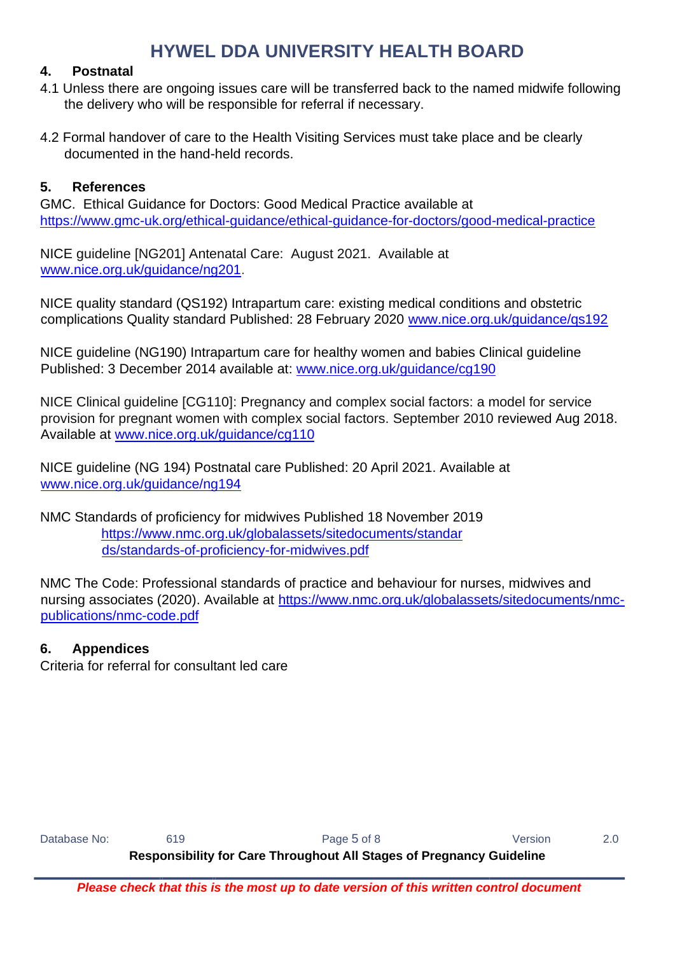#### <span id="page-4-0"></span>**4. Postnatal**

- 4.1 Unless there are ongoing issues care will be transferred back to the named midwife following the delivery who will be responsible for referral if necessary.
- 4.2 Formal handover of care to the Health Visiting Services must take place and be clearly documented in the hand-held records.

#### <span id="page-4-1"></span>**5. References**

GMC. Ethical Guidance for Doctors: Good Medical Practice available at <https://www.gmc-uk.org/ethical-guidance/ethical-guidance-for-doctors/good-medical-practice>

NICE guideline [NG201] Antenatal Care: August 2021. Available at [www.nice.org.uk/guidance/ng201.](http://www.nice.org.uk/guidance/ng201)

NICE quality standard (QS192) Intrapartum care: existing medical conditions and obstetric complications Quality standard Published: 28 February 2020 [www.nice.org.uk/guidance/qs192](http://www.nice.org.uk/guidance/qs192)

NICE guideline (NG190) Intrapartum care for healthy women and babies Clinical guideline Published: 3 December 2014 available at: [www.nice.org.uk/guidance/cg190](http://www.nice.org.uk/guidance/cg190)

NICE Clinical guideline [CG110]: Pregnancy and complex social factors: a model for service provision for pregnant women with complex social factors. September 2010 reviewed Aug 2018. Available at [www.nice.org.uk/guidance/cg110](http://www.nice.org.uk/guidance/cg110)

NICE guideline (NG 194) Postnatal care Published: 20 April 2021. Available at [www.nice.org.uk/guidance/ng194](http://www.nice.org.uk/guidance/ng194)

NMC Standards of proficiency for midwives Published 18 November 2019 [https://www.nmc.org.uk/globalassets/sitedocuments/standar](https://www.nmc.org.uk/globalassets/sitedocuments/standards/standards-of-proficiency-for-midwives.pdf) [ds/standards-of-proficiency-for-midwives.pdf](https://www.nmc.org.uk/globalassets/sitedocuments/standards/standards-of-proficiency-for-midwives.pdf)

NMC The Code: Professional standards of practice and behaviour for nurses, midwives and nursing associates (2020). Available at [https://www.nmc.org.uk/globalassets/sitedocuments/nmc](https://www.nmc.org.uk/globalassets/sitedocuments/nmc-publications/nmc-code.pdf)[publications/nmc-code.pdf](https://www.nmc.org.uk/globalassets/sitedocuments/nmc-publications/nmc-code.pdf)

#### <span id="page-4-2"></span>**6. Appendices**

Criteria for referral for consultant led care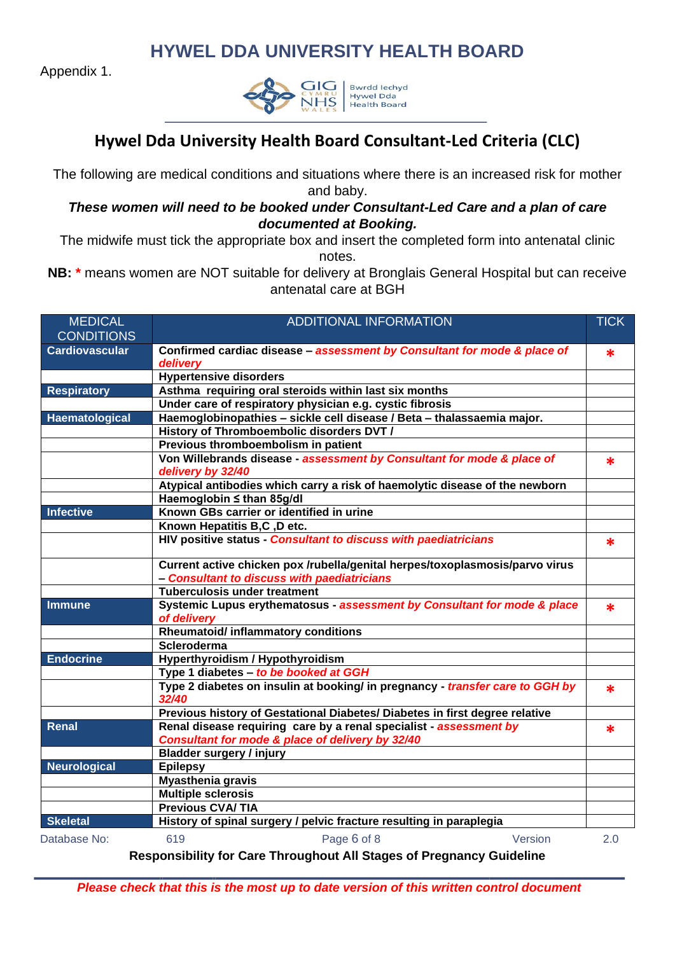Appendix 1.



### **Hywel Dda University Health Board Consultant-Led Criteria (CLC)**

The following are medical conditions and situations where there is an increased risk for mother and baby.

#### *These women will need to be booked under Consultant-Led Care and a plan of care documented at Booking.*

The midwife must tick the appropriate box and insert the completed form into antenatal clinic notes.

**NB: \*** means women are NOT suitable for delivery at Bronglais General Hospital but can receive antenatal care at BGH

| <b>MEDICAL</b><br><b>CONDITIONS</b> | <b>ADDITIONAL INFORMATION</b>                                                                                               | <b>TICK</b> |
|-------------------------------------|-----------------------------------------------------------------------------------------------------------------------------|-------------|
| <b>Cardiovascular</b>               | Confirmed cardiac disease - assessment by Consultant for mode & place of<br>delivery                                        | *           |
|                                     | <b>Hypertensive disorders</b>                                                                                               |             |
| <b>Respiratory</b>                  | Asthma requiring oral steroids within last six months                                                                       |             |
|                                     | Under care of respiratory physician e.g. cystic fibrosis                                                                    |             |
| Haematological                      | Haemoglobinopathies - sickle cell disease / Beta - thalassaemia major.                                                      |             |
|                                     | History of Thromboembolic disorders DVT /                                                                                   |             |
|                                     | Previous thromboembolism in patient                                                                                         |             |
|                                     | Von Willebrands disease - assessment by Consultant for mode & place of<br>delivery by 32/40                                 | ж           |
|                                     | Atypical antibodies which carry a risk of haemolytic disease of the newborn                                                 |             |
|                                     | Haemoglobin ≤ than 85g/dl                                                                                                   |             |
| <b>Infective</b>                    | Known GBs carrier or identified in urine                                                                                    |             |
|                                     | Known Hepatitis B,C, D etc.                                                                                                 |             |
|                                     | HIV positive status - Consultant to discuss with paediatricians                                                             | *           |
|                                     | Current active chicken pox /rubella/genital herpes/toxoplasmosis/parvo virus<br>- Consultant to discuss with paediatricians |             |
|                                     | <b>Tuberculosis under treatment</b>                                                                                         |             |
| <b>Immune</b>                       | Systemic Lupus erythematosus - assessment by Consultant for mode & place                                                    |             |
|                                     | of delivery                                                                                                                 | ж           |
|                                     | Rheumatoid/ inflammatory conditions                                                                                         |             |
|                                     | Scleroderma                                                                                                                 |             |
| <b>Endocrine</b>                    | Hyperthyroidism / Hypothyroidism                                                                                            |             |
|                                     | Type 1 diabetes - to be booked at GGH                                                                                       |             |
|                                     | Type 2 diabetes on insulin at booking/ in pregnancy - transfer care to GGH by<br>32/40                                      | *           |
|                                     | Previous history of Gestational Diabetes/ Diabetes in first degree relative                                                 |             |
| <b>Renal</b>                        | Renal disease requiring care by a renal specialist - assessment by                                                          | *           |
|                                     | Consultant for mode & place of delivery by 32/40                                                                            |             |
|                                     | <b>Bladder surgery / injury</b>                                                                                             |             |
| <b>Neurological</b>                 | <b>Epilepsy</b>                                                                                                             |             |
|                                     | <b>Myasthenia gravis</b>                                                                                                    |             |
|                                     | <b>Multiple sclerosis</b>                                                                                                   |             |
|                                     | <b>Previous CVA/TIA</b>                                                                                                     |             |
| <b>Skeletal</b>                     | History of spinal surgery / pelvic fracture resulting in paraplegia                                                         |             |
| Database No:                        | Page 6 of 8<br>619<br>Version                                                                                               | 2.0         |

**Responsibility for Care Throughout All Stages of Pregnancy Guideline**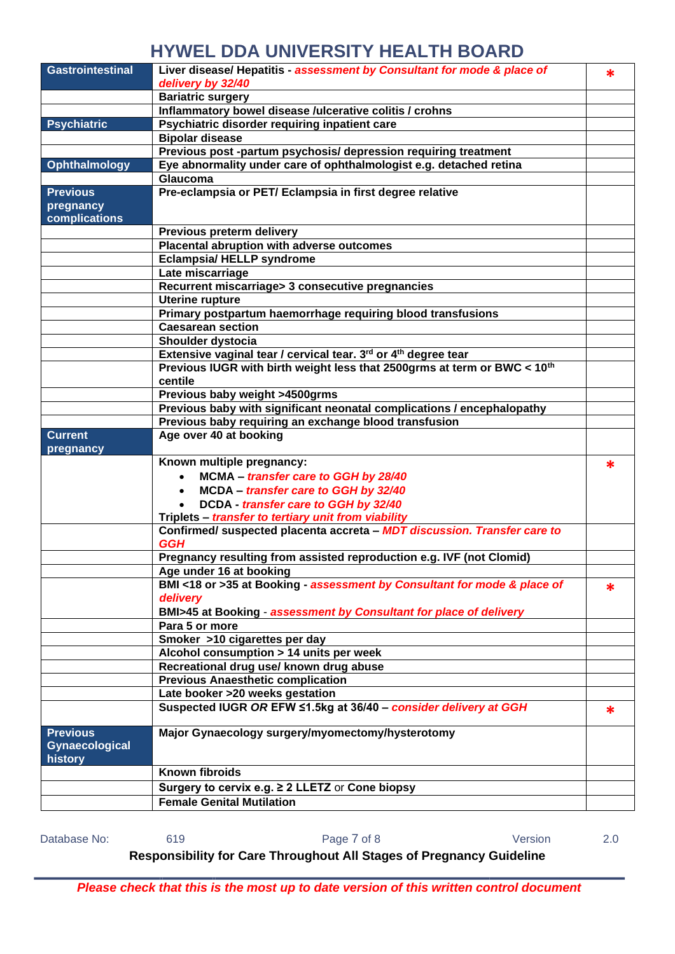| <b>Gastrointestinal</b>                      | Liver disease/ Hepatitis - assessment by Consultant for mode & place of              | *      |
|----------------------------------------------|--------------------------------------------------------------------------------------|--------|
|                                              | delivery by 32/40                                                                    |        |
|                                              | <b>Bariatric surgery</b>                                                             |        |
|                                              | Inflammatory bowel disease /ulcerative colitis / crohns                              |        |
| <b>Psychiatric</b>                           | Psychiatric disorder requiring inpatient care                                        |        |
|                                              | <b>Bipolar disease</b>                                                               |        |
|                                              | Previous post -partum psychosis/ depression requiring treatment                      |        |
| Ophthalmology                                | Eye abnormality under care of ophthalmologist e.g. detached retina                   |        |
|                                              | Glaucoma                                                                             |        |
| <b>Previous</b>                              | Pre-eclampsia or PET/ Eclampsia in first degree relative                             |        |
| pregnancy<br>complications                   |                                                                                      |        |
|                                              | Previous preterm delivery                                                            |        |
|                                              | Placental abruption with adverse outcomes                                            |        |
|                                              | <b>Eclampsia/ HELLP syndrome</b>                                                     |        |
|                                              | Late miscarriage                                                                     |        |
|                                              | Recurrent miscarriage> 3 consecutive pregnancies                                     |        |
|                                              | <b>Uterine rupture</b>                                                               |        |
|                                              | Primary postpartum haemorrhage requiring blood transfusions                          |        |
|                                              | <b>Caesarean section</b>                                                             |        |
|                                              | Shoulder dystocia                                                                    |        |
|                                              | Extensive vaginal tear / cervical tear. 3rd or 4 <sup>th</sup> degree tear           |        |
|                                              |                                                                                      |        |
|                                              | Previous IUGR with birth weight less that 2500grms at term or BWC < 10 <sup>th</sup> |        |
|                                              | centile                                                                              |        |
|                                              | Previous baby weight >4500grms                                                       |        |
|                                              | Previous baby with significant neonatal complications / encephalopathy               |        |
|                                              | Previous baby requiring an exchange blood transfusion                                |        |
| <b>Current</b>                               | Age over 40 at booking                                                               |        |
| pregnancy                                    |                                                                                      |        |
|                                              | Known multiple pregnancy:                                                            | ж      |
|                                              | MCMA - transfer care to GGH by 28/40<br>$\bullet$                                    |        |
|                                              | MCDA - transfer care to GGH by 32/40                                                 |        |
|                                              | DCDA - transfer care to GGH by 32/40                                                 |        |
|                                              | Triplets - transfer to tertiary unit from viability                                  |        |
|                                              | Confirmed/ suspected placenta accreta - MDT discussion. Transfer care to             |        |
|                                              | <b>GGH</b>                                                                           |        |
|                                              | Pregnancy resulting from assisted reproduction e.g. IVF (not Clomid)                 |        |
|                                              | Age under 16 at booking                                                              |        |
|                                              | BMI <18 or >35 at Booking - assessment by Consultant for mode & place of             |        |
|                                              | delivery                                                                             | $\ast$ |
|                                              | BMI>45 at Booking - assessment by Consultant for place of delivery                   |        |
|                                              | Para 5 or more                                                                       |        |
|                                              |                                                                                      |        |
|                                              | Smoker >10 cigarettes per day                                                        |        |
|                                              | Alcohol consumption > 14 units per week                                              |        |
|                                              | Recreational drug use/ known drug abuse                                              |        |
|                                              | <b>Previous Anaesthetic complication</b>                                             |        |
|                                              | Late booker >20 weeks gestation                                                      |        |
|                                              | Suspected IUGR OR EFW ≤1.5kg at 36/40 - consider delivery at GGH                     | ∗      |
| <b>Previous</b><br>Gynaecological<br>history | Major Gynaecology surgery/myomectomy/hysterotomy                                     |        |
|                                              | <b>Known fibroids</b>                                                                |        |
|                                              | Surgery to cervix e.g. ≥ 2 LLETZ or Cone biopsy                                      |        |
|                                              | <b>Female Genital Mutilation</b>                                                     |        |
|                                              |                                                                                      |        |

Database No: 619 619 Page 7 of 8 Version 2.0

**Responsibility for Care Throughout All Stages of Pregnancy Guideline**